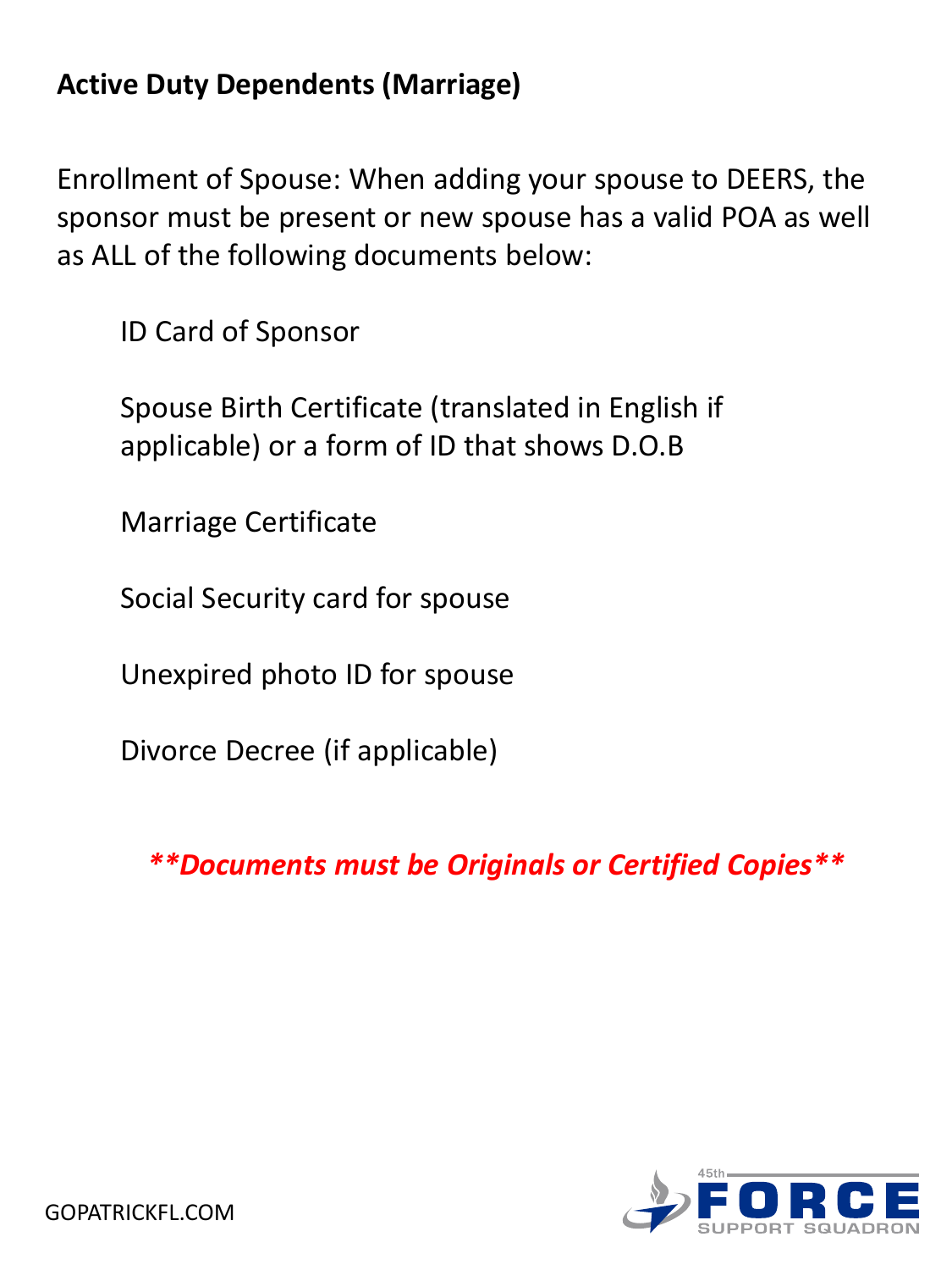# **Active Duty Dependents (Marriage)**

Enrollment of Spouse: When adding your spouse to DEERS, the sponsor must be present or new spouse has a valid POA as well as ALL of the following documents below:

ID Card of Sponsor

Spouse Birth Certificate (translated in English if applicable) or a form of ID that shows D.O.B

Marriage Certificate

Social Security card for spouse

Unexpired photo ID for spouse

Divorce Decree (if applicable)

*\*\*Documents must be Originals or Certified Copies\*\**

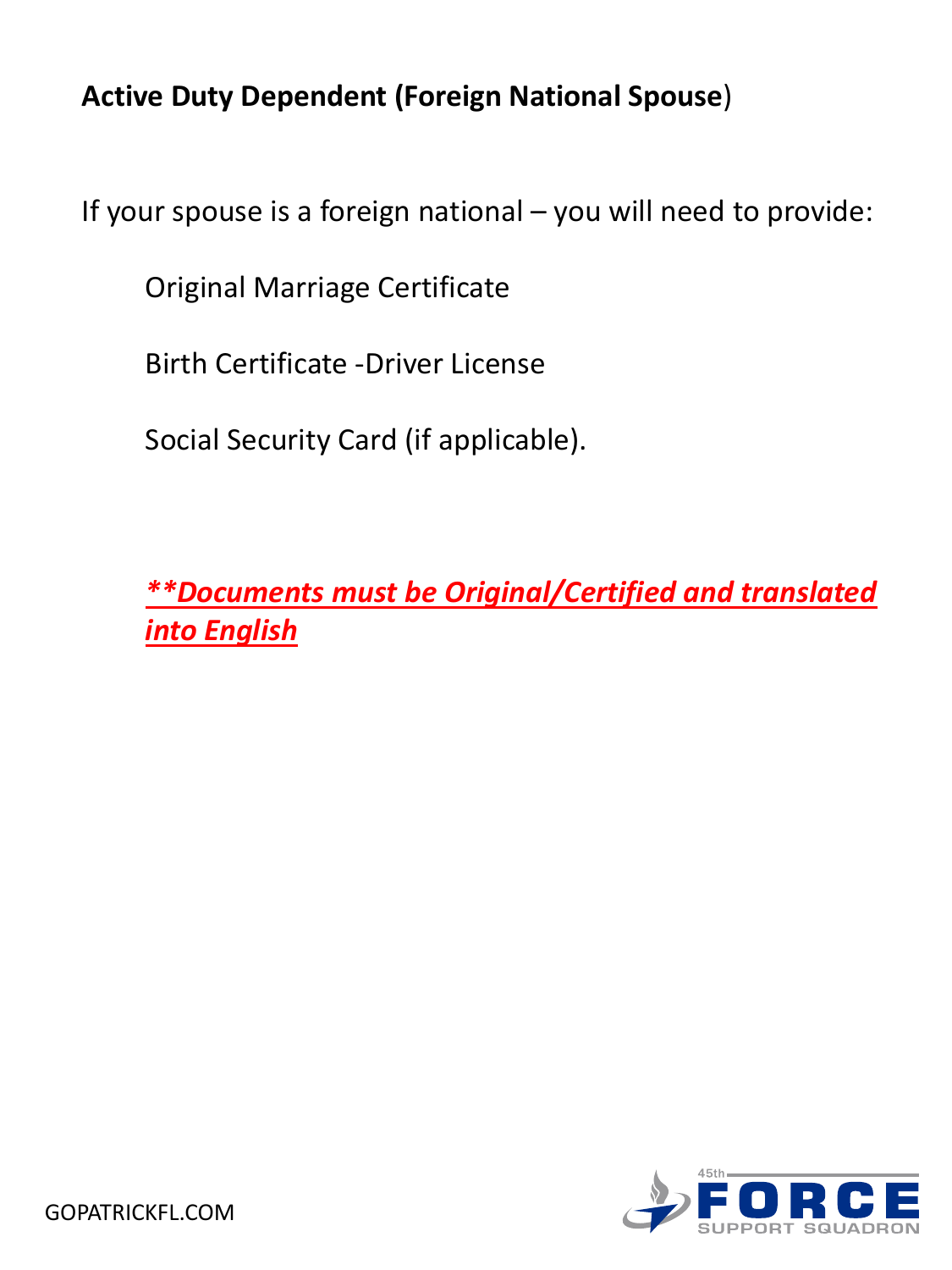### **Active Duty Dependent (Foreign National Spouse**)

If your spouse is a foreign national – you will need to provide:

Original Marriage Certificate

Birth Certificate -Driver License

Social Security Card (if applicable).

*\*\*Documents must be Original/Certified and translated into English*

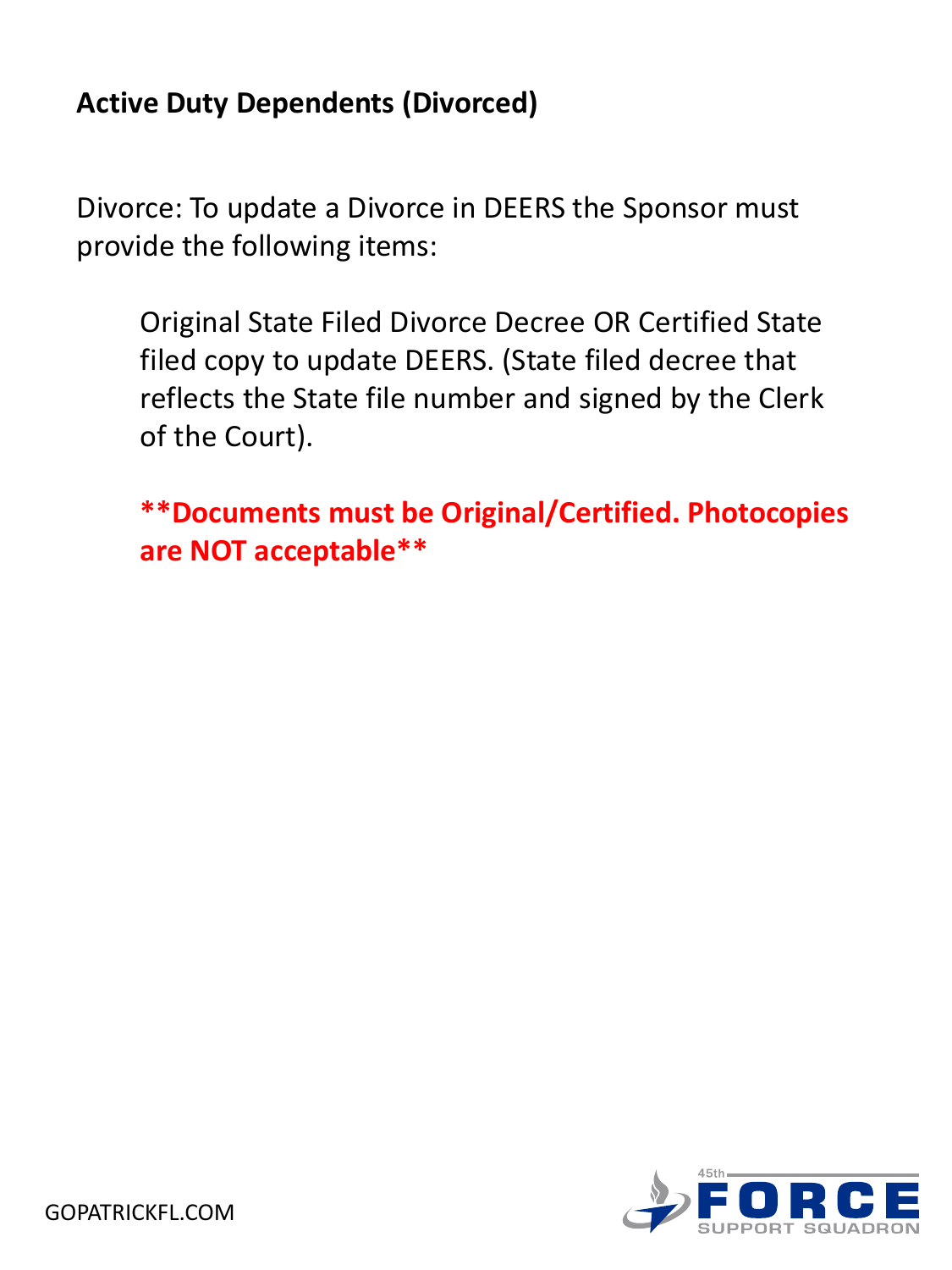### **Active Duty Dependents (Divorced)**

Divorce: To update a Divorce in DEERS the Sponsor must provide the following items:

Original State Filed Divorce Decree OR Certified State filed copy to update DEERS. (State filed decree that reflects the State file number and signed by the Clerk of the Court).

**\*\*Documents must be Original/Certified. Photocopies are NOT acceptable\*\*** 

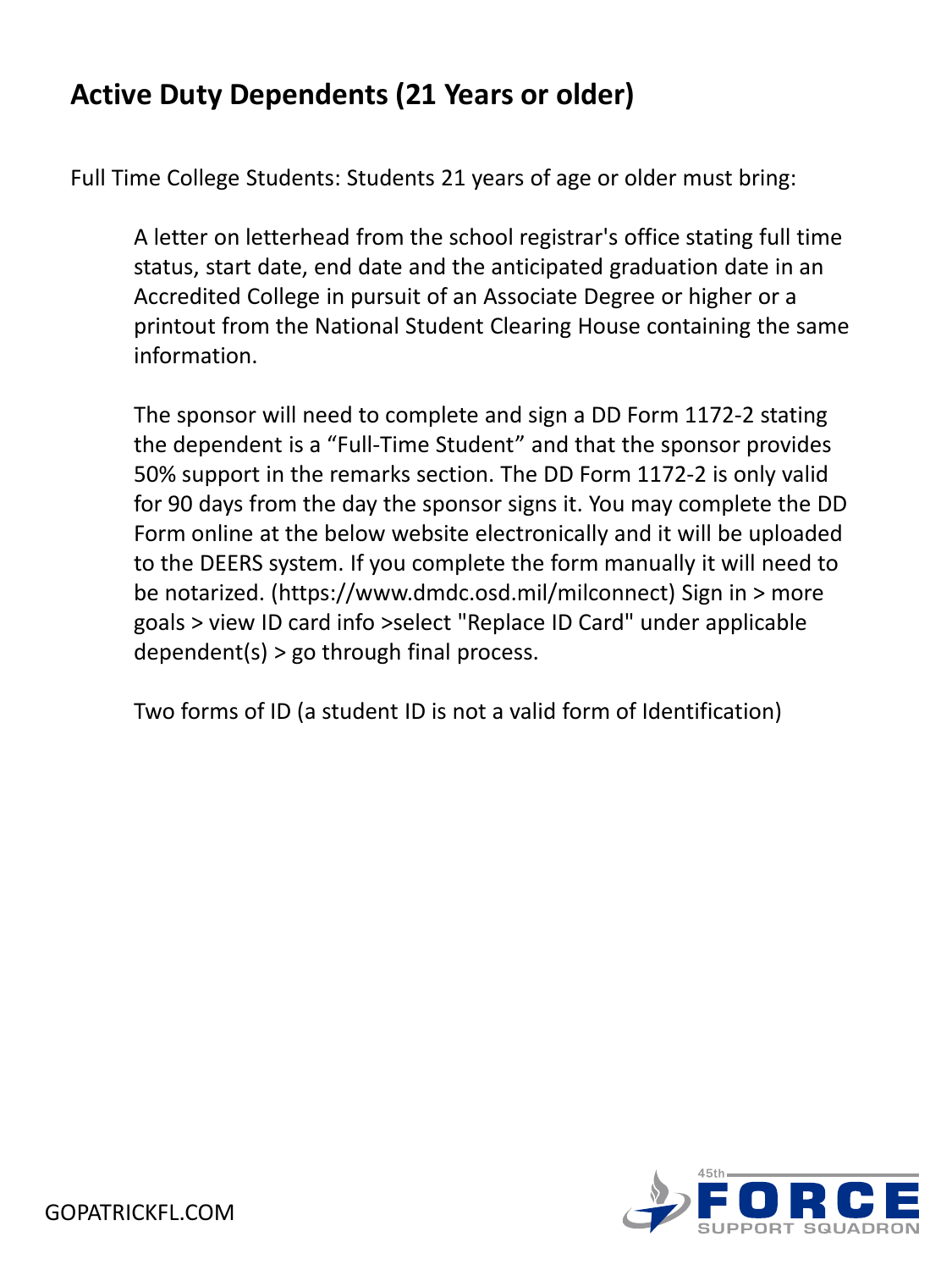#### **Active Duty Dependents (21 Years or older)**

Full Time College Students: Students 21 years of age or older must bring:

A letter on letterhead from the school registrar's office stating full time status, start date, end date and the anticipated graduation date in an Accredited College in pursuit of an Associate Degree or higher or a printout from the National Student Clearing House containing the same information.

The sponsor will need to complete and sign a DD Form 1172-2 stating the dependent is a "Full-Time Student" and that the sponsor provides 50% support in the remarks section. The DD Form 1172-2 is only valid for 90 days from the day the sponsor signs it. You may complete the DD Form online at the below website electronically and it will be uploaded to the DEERS system. If you complete the form manually it will need to be notarized. (https://www.dmdc.osd.mil/milconnect) Sign in > more goals > view ID card info >select "Replace ID Card" under applicable dependent(s) > go through final process.

Two forms of ID (a student ID is not a valid form of Identification)